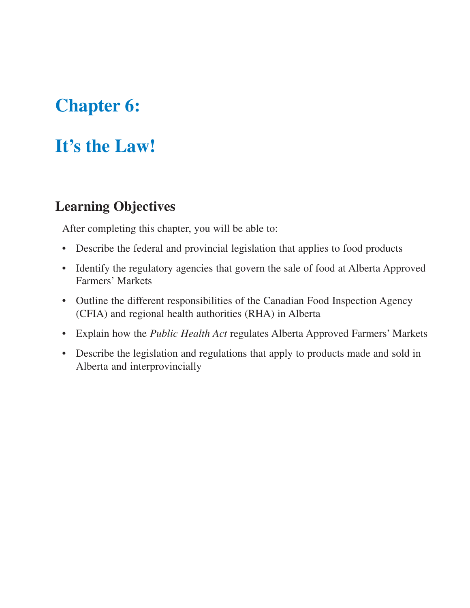# **Chapter 6:**

# **It's the Law!**

### **Learning Objectives**

After completing this chapter, you will be able to:

- Describe the federal and provincial legislation that applies to food products
- Identify the regulatory agencies that govern the sale of food at Alberta Approved Farmers' Markets
- Outline the different responsibilities of the Canadian Food Inspection Agency (CFIA) and regional health authorities (RHA) in Alberta
- Explain how the *Public Health Act* regulates Alberta Approved Farmers' Markets
- Describe the legislation and regulations that apply to products made and sold in Alberta and interprovincially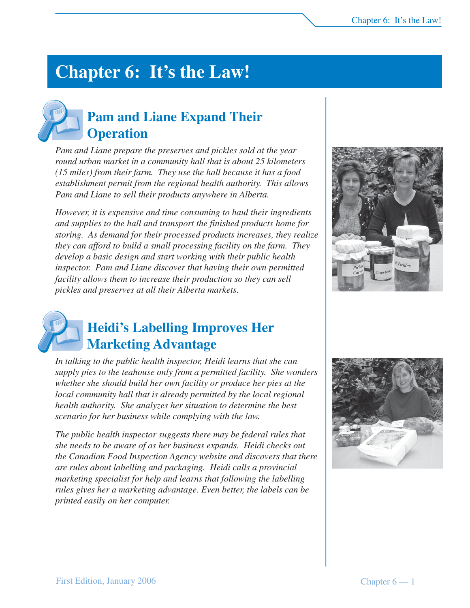# **Chapter 6: It's the Law!**

## **Pam and Liane Expand Their Operation**

*Pam and Liane prepare the preserves and pickles sold at the year round urban market in a community hall that is about 25 kilometers (15 miles) from their farm. They use the hall because it has a food establishment permit from the regional health authority. This allows Pam and Liane to sell their products anywhere in Alberta.*

*However, it is expensive and time consuming to haul their ingredients and supplies to the hall and transport the finished products home for storing. As demand for their processed products increases, they realize they can afford to build a small processing facility on the farm. They develop a basic design and start working with their public health inspector. Pam and Liane discover that having their own permitted facility allows them to increase their production so they can sell pickles and preserves at all their Alberta markets.*





### **Heidi's Labelling Improves Her Marketing Advantage**

*In talking to the public health inspector, Heidi learns that she can supply pies to the teahouse only from a permitted facility. She wonders whether she should build her own facility or produce her pies at the local community hall that is already permitted by the local regional health authority. She analyzes her situation to determine the best scenario for her business while complying with the law.*

*The public health inspector suggests there may be federal rules that she needs to be aware of as her business expands. Heidi checks out the Canadian Food Inspection Agency website and discovers that there are rules about labelling and packaging. Heidi calls a provincial marketing specialist for help and learns that following the labelling rules gives her a marketing advantage. Even better, the labels can be printed easily on her computer.*

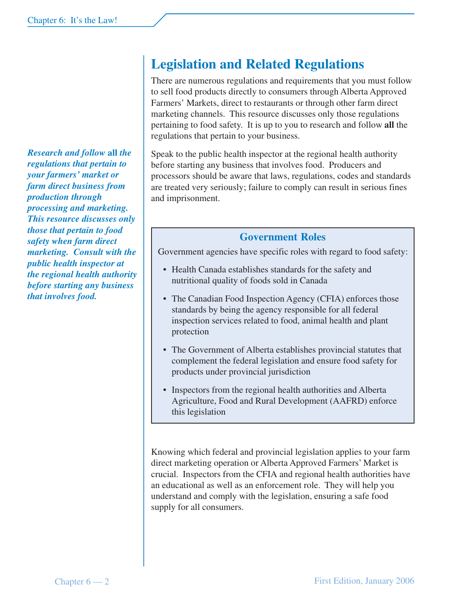*Research and follow* **all** *the regulations that pertain to your farmers' market or farm direct business from production through processing and marketing. This resource discusses only those that pertain to food safety when farm direct marketing. Consult with the public health inspector at the regional health authority before starting any business that involves food.*

## **Legislation and Related Regulations**

There are numerous regulations and requirements that you must follow to sell food products directly to consumers through Alberta Approved Farmers' Markets, direct to restaurants or through other farm direct marketing channels. This resource discusses only those regulations pertaining to food safety. It is up to you to research and follow **all** the regulations that pertain to your business.

Speak to the public health inspector at the regional health authority before starting any business that involves food. Producers and processors should be aware that laws, regulations, codes and standards are treated very seriously; failure to comply can result in serious fines and imprisonment.

#### **Government Roles**

Government agencies have specific roles with regard to food safety:

- Health Canada establishes standards for the safety and nutritional quality of foods sold in Canada
- The Canadian Food Inspection Agency (CFIA) enforces those standards by being the agency responsible for all federal inspection services related to food, animal health and plant protection
- The Government of Alberta establishes provincial statutes that complement the federal legislation and ensure food safety for products under provincial jurisdiction
- Inspectors from the regional health authorities and Alberta Agriculture, Food and Rural Development (AAFRD) enforce this legislation

Knowing which federal and provincial legislation applies to your farm direct marketing operation or Alberta Approved Farmers' Market is crucial. Inspectors from the CFIA and regional health authorities have an educational as well as an enforcement role. They will help you understand and comply with the legislation, ensuring a safe food supply for all consumers.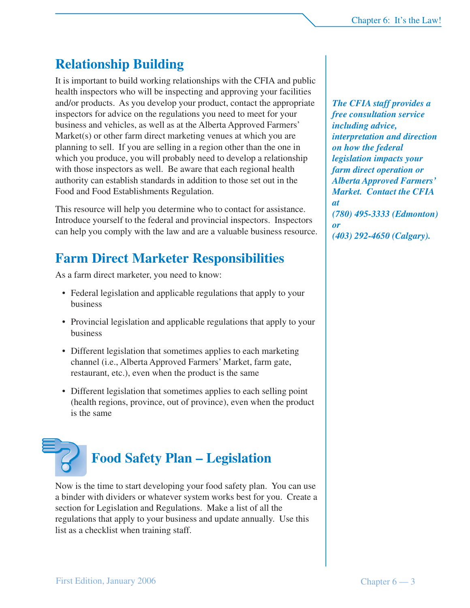## **Relationship Building**

It is important to build working relationships with the CFIA and public health inspectors who will be inspecting and approving your facilities and/or products. As you develop your product, contact the appropriate inspectors for advice on the regulations you need to meet for your business and vehicles, as well as at the Alberta Approved Farmers' Market(s) or other farm direct marketing venues at which you are planning to sell. If you are selling in a region other than the one in which you produce, you will probably need to develop a relationship with those inspectors as well. Be aware that each regional health authority can establish standards in addition to those set out in the Food and Food Establishments Regulation.

This resource will help you determine who to contact for assistance. Introduce yourself to the federal and provincial inspectors. Inspectors can help you comply with the law and are a valuable business resource.

### **Farm Direct Marketer Responsibilities**

As a farm direct marketer, you need to know:

- Federal legislation and applicable regulations that apply to your business
- Provincial legislation and applicable regulations that apply to your business
- Different legislation that sometimes applies to each marketing channel (i.e., Alberta Approved Farmers' Market, farm gate, restaurant, etc.), even when the product is the same
- Different legislation that sometimes applies to each selling point (health regions, province, out of province), even when the product is the same



Now is the time to start developing your food safety plan. You can use a binder with dividers or whatever system works best for you. Create a section for Legislation and Regulations. Make a list of all the regulations that apply to your business and update annually. Use this list as a checklist when training staff.

*The CFIA staff provides a free consultation service including advice, interpretation and direction on how the federal legislation impacts your farm direct operation or Alberta Approved Farmers' Market. Contact the CFIA at (780) 495-3333 (Edmonton) or (403) 292-4650 (Calgary).*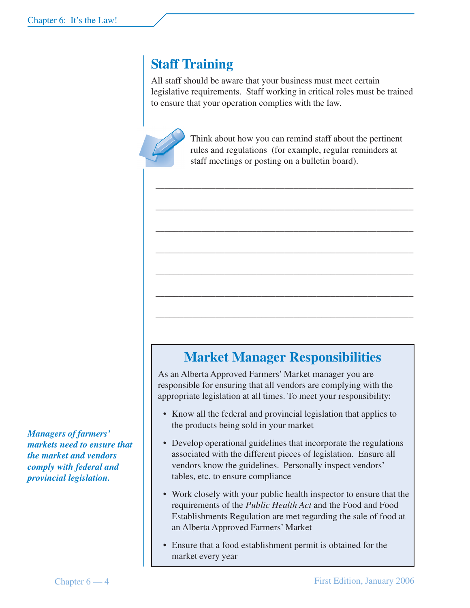## **Staff Training**

All staff should be aware that your business must meet certain legislative requirements. Staff working in critical roles must be trained to ensure that your operation complies with the law.



Think about how you can remind staff about the pertinent rules and regulations (for example, regular reminders at staff meetings or posting on a bulletin board).

\_\_\_\_\_\_\_\_\_\_\_\_\_\_\_\_\_\_\_\_\_\_\_\_\_\_\_\_\_\_\_\_\_\_\_\_\_\_\_\_\_\_\_\_\_\_\_\_\_\_\_\_\_\_\_\_

\_\_\_\_\_\_\_\_\_\_\_\_\_\_\_\_\_\_\_\_\_\_\_\_\_\_\_\_\_\_\_\_\_\_\_\_\_\_\_\_\_\_\_\_\_\_\_\_\_\_\_\_\_\_\_\_

\_\_\_\_\_\_\_\_\_\_\_\_\_\_\_\_\_\_\_\_\_\_\_\_\_\_\_\_\_\_\_\_\_\_\_\_\_\_\_\_\_\_\_\_\_\_\_\_\_\_\_\_\_\_\_\_

\_\_\_\_\_\_\_\_\_\_\_\_\_\_\_\_\_\_\_\_\_\_\_\_\_\_\_\_\_\_\_\_\_\_\_\_\_\_\_\_\_\_\_\_\_\_\_\_\_\_\_\_\_\_\_\_

\_\_\_\_\_\_\_\_\_\_\_\_\_\_\_\_\_\_\_\_\_\_\_\_\_\_\_\_\_\_\_\_\_\_\_\_\_\_\_\_\_\_\_\_\_\_\_\_\_\_\_\_\_\_\_\_

\_\_\_\_\_\_\_\_\_\_\_\_\_\_\_\_\_\_\_\_\_\_\_\_\_\_\_\_\_\_\_\_\_\_\_\_\_\_\_\_\_\_\_\_\_\_\_\_\_\_\_\_\_\_\_\_

\_\_\_\_\_\_\_\_\_\_\_\_\_\_\_\_\_\_\_\_\_\_\_\_\_\_\_\_\_\_\_\_\_\_\_\_\_\_\_\_\_\_\_\_\_\_\_\_\_\_\_\_\_\_\_\_

*Managers of farmers' markets need to ensure that the market and vendors comply with federal and provincial legislation.*

### **Market Manager Responsibilities**

As an Alberta Approved Farmers' Market manager you are responsible for ensuring that all vendors are complying with the appropriate legislation at all times. To meet your responsibility:

- Know all the federal and provincial legislation that applies to the products being sold in your market
- Develop operational guidelines that incorporate the regulations associated with the different pieces of legislation. Ensure all vendors know the guidelines. Personally inspect vendors' tables, etc. to ensure compliance
- Work closely with your public health inspector to ensure that the requirements of the *Public Health Act* and the Food and Food Establishments Regulation are met regarding the sale of food at an Alberta Approved Farmers' Market
- Ensure that a food establishment permit is obtained for the market every year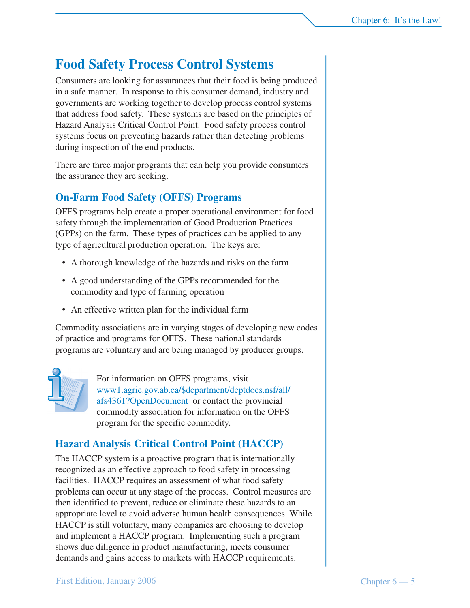## **Food Safety Process Control Systems**

Consumers are looking for assurances that their food is being produced in a safe manner. In response to this consumer demand, industry and governments are working together to develop process control systems that address food safety. These systems are based on the principles of Hazard Analysis Critical Control Point. Food safety process control systems focus on preventing hazards rather than detecting problems during inspection of the end products.

There are three major programs that can help you provide consumers the assurance they are seeking.

#### **On-Farm Food Safety (OFFS) Programs**

OFFS programs help create a proper operational environment for food safety through the implementation of Good Production Practices (GPPs) on the farm. These types of practices can be applied to any type of agricultural production operation. The keys are:

- A thorough knowledge of the hazards and risks on the farm
- A good understanding of the GPPs recommended for the commodity and type of farming operation
- An effective written plan for the individual farm

Commodity associations are in varying stages of developing new codes of practice and programs for OFFS. These national standards programs are voluntary and are being managed by producer groups.



For information on OFFS programs, visit www1.agric.gov.ab.ca/\$department/deptdocs.nsf/all/ afs4361?OpenDocument or contact the provincial commodity association for information on the OFFS program for the specific commodity.

### **Hazard Analysis Critical Control Point (HACCP)**

The HACCP system is a proactive program that is internationally recognized as an effective approach to food safety in processing facilities. HACCP requires an assessment of what food safety problems can occur at any stage of the process. Control measures are then identified to prevent, reduce or eliminate these hazards to an appropriate level to avoid adverse human health consequences. While HACCP is still voluntary, many companies are choosing to develop and implement a HACCP program. Implementing such a program shows due diligence in product manufacturing, meets consumer demands and gains access to markets with HACCP requirements.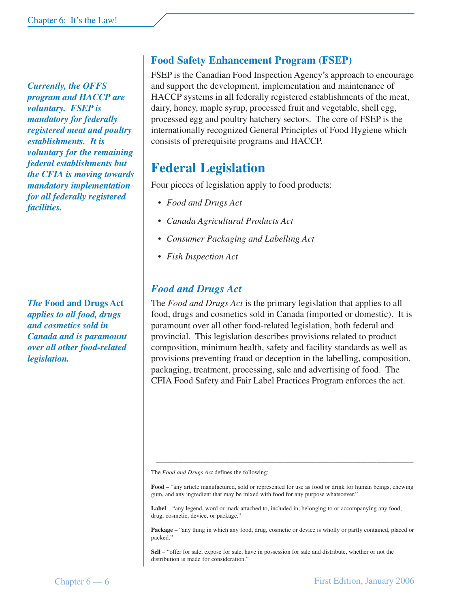*Currently, the OFFS program and HACCP are voluntary. FSEP is mandatory for federally registered meat and poultry establishments. It is voluntary for the remaining federal establishments but the CFIA is moving towards mandatory implementation for all federally registered facilities.*

*The* **Food and Drugs Act** *applies to all food, drugs and cosmetics sold in Canada and is paramount over all other food-related legislation.*

### **Food Safety Enhancement Program (FSEP)**

FSEP is the Canadian Food Inspection Agency's approach to encourage and support the development, implementation and maintenance of HACCP systems in all federally registered establishments of the meat, dairy, honey, maple syrup, processed fruit and vegetable, shell egg, processed egg and poultry hatchery sectors. The core of FSEP is the internationally recognized General Principles of Food Hygiene which consists of prerequisite programs and HACCP.

### **Federal Legislation**

Four pieces of legislation apply to food products:

- *Food and Drugs Act*
- *Canada Agricultural Products Act*
- *Consumer Packaging and Labelling Act*
- *Fish Inspection Act*

### *Food and Drugs Act*

The *Food and Drugs Act* is the primary legislation that applies to all food, drugs and cosmetics sold in Canada (imported or domestic). It is paramount over all other food-related legislation, both federal and provincial. This legislation describes provisions related to product composition, minimum health, safety and facility standards as well as provisions preventing fraud or deception in the labelling, composition, packaging, treatment, processing, sale and advertising of food. The CFIA Food Safety and Fair Label Practices Program enforces the act.

The *Food and Drugs Act* defines the following:

**Food** – "any article manufactured, sold or represented for use as food or drink for human beings, chewing gum, and any ingredient that may be mixed with food for any purpose whatsoever."

\_\_\_\_\_\_\_\_\_\_\_\_\_\_\_\_\_\_\_\_\_\_\_\_\_\_\_\_\_\_\_\_\_\_\_\_\_\_\_\_\_\_\_\_\_\_\_\_\_\_\_\_\_\_\_\_

Label – "any legend, word or mark attached to, included in, belonging to or accompanying any food, drug, cosmetic, device, or package."

**Package** – "any thing in which any food, drug, cosmetic or device is wholly or partly contained, placed or packed."

**Sell** – "offer for sale, expose for sale, have in possession for sale and distribute, whether or not the distribution is made for consideration."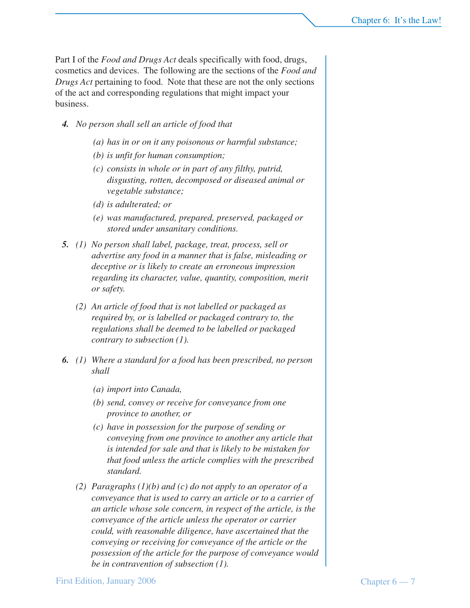Part I of the *Food and Drugs Act* deals specifically with food, drugs, cosmetics and devices. The following are the sections of the *Food and Drugs Act* pertaining to food. Note that these are not the only sections of the act and corresponding regulations that might impact your business.

- *4. No person shall sell an article of food that*
	- *(a) has in or on it any poisonous or harmful substance;*
	- *(b) is unfit for human consumption;*
	- *(c) consists in whole or in part of any filthy, putrid, disgusting, rotten, decomposed or diseased animal or vegetable substance;*
	- *(d) is adulterated; or*
	- *(e) was manufactured, prepared, preserved, packaged or stored under unsanitary conditions.*
- *5. (1) No person shall label, package, treat, process, sell or advertise any food in a manner that is false, misleading or deceptive or is likely to create an erroneous impression regarding its character, value, quantity, composition, merit or safety.*
	- *(2) An article of food that is not labelled or packaged as required by, or is labelled or packaged contrary to, the regulations shall be deemed to be labelled or packaged contrary to subsection (1).*
- *6. (1) Where a standard for a food has been prescribed, no person shall*
	- *(a) import into Canada,*
	- *(b) send, convey or receive for conveyance from one province to another, or*
	- *(c) have in possession for the purpose of sending or conveying from one province to another any article that is intended for sale and that is likely to be mistaken for that food unless the article complies with the prescribed standard.*
	- *(2) Paragraphs (1)(b) and (c) do not apply to an operator of a conveyance that is used to carry an article or to a carrier of an article whose sole concern, in respect of the article, is the conveyance of the article unless the operator or carrier could, with reasonable diligence, have ascertained that the conveying or receiving for conveyance of the article or the possession of the article for the purpose of conveyance would be in contravention of subsection (1).*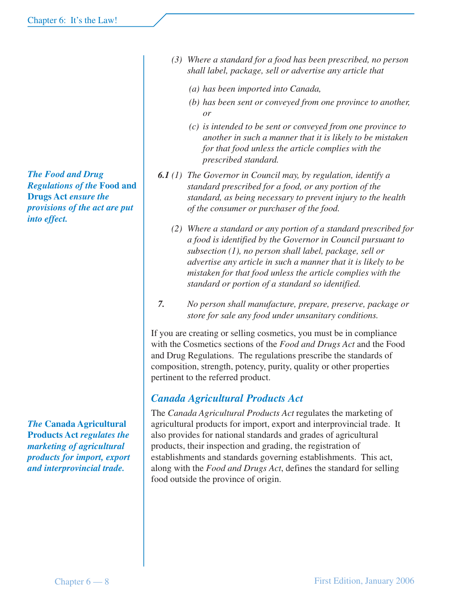*The Food and Drug Regulations of the* **Food and Drugs Act** *ensure the provisions of the act are put into effect.*

*The* **Canada Agricultural Products Act** *regulates the marketing of agricultural products for import, export and interprovincial trade.*

- *(3) Where a standard for a food has been prescribed, no person shall label, package, sell or advertise any article that*
	- *(a) has been imported into Canada,*
	- *(b) has been sent or conveyed from one province to another, or*
	- *(c) is intended to be sent or conveyed from one province to another in such a manner that it is likely to be mistaken for that food unless the article complies with the prescribed standard.*
- *6.1 (1) The Governor in Council may, by regulation, identify a standard prescribed for a food, or any portion of the standard, as being necessary to prevent injury to the health of the consumer or purchaser of the food.*
	- *(2) Where a standard or any portion of a standard prescribed for a food is identified by the Governor in Council pursuant to subsection (1), no person shall label, package, sell or advertise any article in such a manner that it is likely to be mistaken for that food unless the article complies with the standard or portion of a standard so identified.*
- *7. No person shall manufacture, prepare, preserve, package or store for sale any food under unsanitary conditions.*

If you are creating or selling cosmetics, you must be in compliance with the Cosmetics sections of the *Food and Drugs Act* and the Food and Drug Regulations. The regulations prescribe the standards of composition, strength, potency, purity, quality or other properties pertinent to the referred product.

### *Canada Agricultural Products Act*

The *Canada Agricultural Products Act* regulates the marketing of agricultural products for import, export and interprovincial trade. It also provides for national standards and grades of agricultural products, their inspection and grading, the registration of establishments and standards governing establishments. This act, along with the *Food and Drugs Act*, defines the standard for selling food outside the province of origin.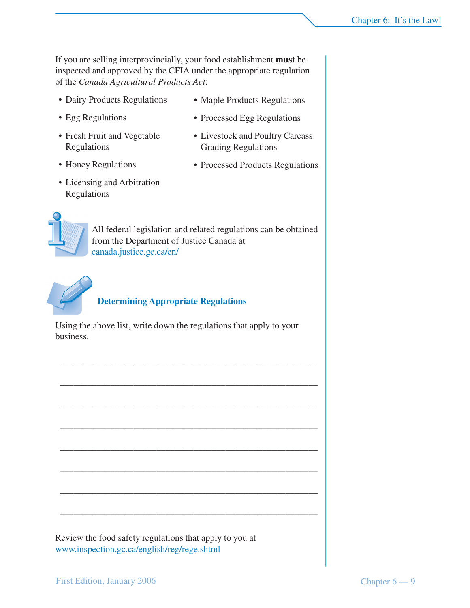If you are selling interprovincially, your food establishment **must** be inspected and approved by the CFIA under the appropriate regulation of the *Canada Agricultural Products Act*:

- Dairy Products Regulations
- Maple Products Regulations
- Egg Regulations
- Fresh Fruit and Vegetable Regulations
- Honey Regulations
- Licensing and Arbitration Regulations
- Processed Egg Regulations
- Livestock and Poultry Carcass Grading Regulations
- Processed Products Regulations



All federal legislation and related regulations can be obtained from the Department of Justice Canada at canada.justice.gc.ca/en/



#### **Determining Appropriate Regulations**

Using the above list, write down the regulations that apply to your business.

\_\_\_\_\_\_\_\_\_\_\_\_\_\_\_\_\_\_\_\_\_\_\_\_\_\_\_\_\_\_\_\_\_\_\_\_\_\_\_\_\_\_\_\_\_\_\_\_\_\_\_\_\_\_\_\_

\_\_\_\_\_\_\_\_\_\_\_\_\_\_\_\_\_\_\_\_\_\_\_\_\_\_\_\_\_\_\_\_\_\_\_\_\_\_\_\_\_\_\_\_\_\_\_\_\_\_\_\_\_\_\_\_

\_\_\_\_\_\_\_\_\_\_\_\_\_\_\_\_\_\_\_\_\_\_\_\_\_\_\_\_\_\_\_\_\_\_\_\_\_\_\_\_\_\_\_\_\_\_\_\_\_\_\_\_\_\_\_\_

\_\_\_\_\_\_\_\_\_\_\_\_\_\_\_\_\_\_\_\_\_\_\_\_\_\_\_\_\_\_\_\_\_\_\_\_\_\_\_\_\_\_\_\_\_\_\_\_\_\_\_\_\_\_\_\_

\_\_\_\_\_\_\_\_\_\_\_\_\_\_\_\_\_\_\_\_\_\_\_\_\_\_\_\_\_\_\_\_\_\_\_\_\_\_\_\_\_\_\_\_\_\_\_\_\_\_\_\_\_\_\_\_

\_\_\_\_\_\_\_\_\_\_\_\_\_\_\_\_\_\_\_\_\_\_\_\_\_\_\_\_\_\_\_\_\_\_\_\_\_\_\_\_\_\_\_\_\_\_\_\_\_\_\_\_\_\_\_\_

\_\_\_\_\_\_\_\_\_\_\_\_\_\_\_\_\_\_\_\_\_\_\_\_\_\_\_\_\_\_\_\_\_\_\_\_\_\_\_\_\_\_\_\_\_\_\_\_\_\_\_\_\_\_\_\_

\_\_\_\_\_\_\_\_\_\_\_\_\_\_\_\_\_\_\_\_\_\_\_\_\_\_\_\_\_\_\_\_\_\_\_\_\_\_\_\_\_\_\_\_\_\_\_\_\_\_\_\_\_\_\_\_

Review the food safety regulations that apply to you at www.inspection.gc.ca/english/reg/rege.shtml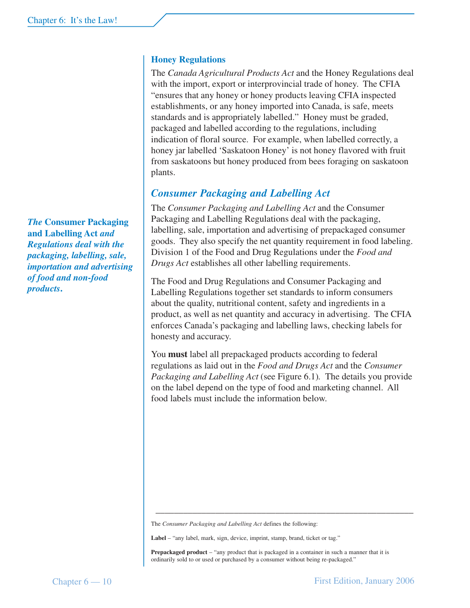*The* **Consumer Packaging and Labelling Act** *and Regulations deal with the packaging, labelling, sale, importation and advertising of food and non-food products***.**

#### **Honey Regulations**

The *Canada Agricultural Products Act* and the Honey Regulations deal with the import, export or interprovincial trade of honey. The CFIA "ensures that any honey or honey products leaving CFIA inspected establishments, or any honey imported into Canada, is safe, meets standards and is appropriately labelled." Honey must be graded, packaged and labelled according to the regulations, including indication of floral source. For example, when labelled correctly, a honey jar labelled 'Saskatoon Honey' is not honey flavored with fruit from saskatoons but honey produced from bees foraging on saskatoon plants.

#### *Consumer Packaging and Labelling Act*

The *Consumer Packaging and Labelling Act* and the Consumer Packaging and Labelling Regulations deal with the packaging, labelling, sale, importation and advertising of prepackaged consumer goods. They also specify the net quantity requirement in food labeling. Division 1 of the Food and Drug Regulations under the *Food and Drugs Act* establishes all other labelling requirements.

The Food and Drug Regulations and Consumer Packaging and Labelling Regulations together set standards to inform consumers about the quality, nutritional content, safety and ingredients in a product, as well as net quantity and accuracy in advertising. The CFIA enforces Canada's packaging and labelling laws, checking labels for honesty and accuracy.

You **must** label all prepackaged products according to federal regulations as laid out in the *Food and Drugs Act* and the *Consumer Packaging and Labelling Act* (see Figure 6.1)*.* The details you provide on the label depend on the type of food and marketing channel. All food labels must include the information below.

The *Consumer Packaging and Labelling Act* defines the following:

**Label** – "any label, mark, sign, device, imprint, stamp, brand, ticket or tag."

**Prepackaged product** – "any product that is packaged in a container in such a manner that it is ordinarily sold to or used or purchased by a consumer without being re-packaged."

\_\_\_\_\_\_\_\_\_\_\_\_\_\_\_\_\_\_\_\_\_\_\_\_\_\_\_\_\_\_\_\_\_\_\_\_\_\_\_\_\_\_\_\_\_\_\_\_\_\_\_\_\_\_\_\_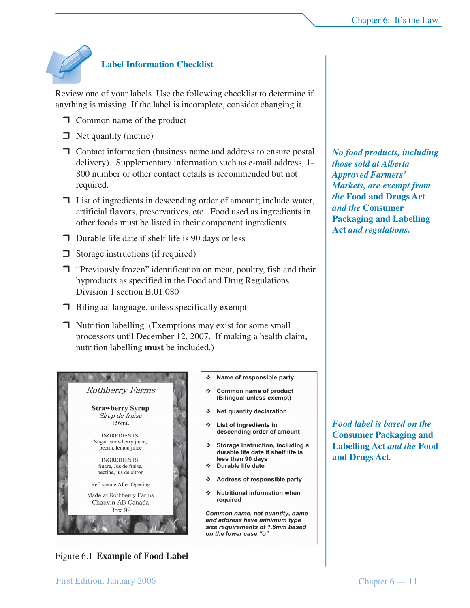

#### **Label Information Checklist**

Review one of your labels. Use the following checklist to determine if anything is missing. If the label is incomplete, consider changing it.

- $\Box$  Common name of the product
- $\Box$  Net quantity (metric)
- $\Box$  Contact information (business name and address to ensure postal delivery). Supplementary information such as e-mail address, 1- 800 number or other contact details is recommended but not required.
- $\Box$  List of ingredients in descending order of amount; include water, artificial flavors, preservatives, etc. Food used as ingredients in other foods must be listed in their component ingredients.
- $\Box$  Durable life date if shelf life is 90 days or less
- $\Box$  Storage instructions (if required)
- $\Box$  "Previously frozen" identification on meat, poultry, fish and their byproducts as specified in the Food and Drug Regulations Division 1 section B.01.080
- $\Box$  Bilingual language, unless specifically exempt
- $\Box$  Nutrition labelling (Exemptions may exist for some small processors until December 12, 2007. If making a health claim, nutrition labelling **must** be included.)



Name of responsible party

- ❖ Common name of product (Bilingual unless exempt)
- ❖ Net quantity declaration
- List of ingredients in descending order of amount
- Storage instruction, including a durable life date if shelf life is less than 90 days
- ❖ Durable life date
- ❖ Address of responsible party
- $\mathcal{L}^{\bullet}$ **Nutritional information when** required

Common name, net quantity, name and address have minimum type size requirements of 1.6mm based on the lower case "o"

*No food products, including those sold at Alberta Approved Farmers' Markets, are exempt from the* **Food and Drugs Act** *and the* **Consumer Packaging and Labelling Act** *and regulations.*

*Food label is based on the* **Consumer Packaging and Labelling Act** *and the* **Food and Drugs Act***.*

Figure 6.1 **Example of Food Label**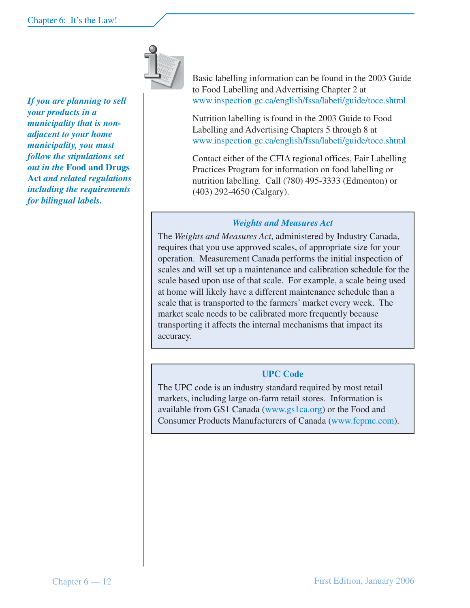

*If you are planning to sell your products in a municipality that is nonadjacent to your home municipality, you must follow the stipulations set out in the* **Food and Drugs Act** *and related regulations including the requirements for bilingual labels.*

Basic labelling information can be found in the 2003 Guide to Food Labelling and Advertising Chapter 2 at www.inspection.gc.ca/english/fssa/labeti/guide/toce.shtml

Nutrition labelling is found in the 2003 Guide to Food Labelling and Advertising Chapters 5 through 8 at www.inspection.gc.ca/english/fssa/labeti/guide/toce.shtml

Contact either of the CFIA regional offices, Fair Labelling Practices Program for information on food labelling or nutrition labelling. Call (780) 495-3333 (Edmonton) or (403) 292-4650 (Calgary).

#### *Weights and Measures Act*

The *Weights and Measures Act*, administered by Industry Canada, requires that you use approved scales, of appropriate size for your operation. Measurement Canada performs the initial inspection of scales and will set up a maintenance and calibration schedule for the scale based upon use of that scale. For example, a scale being used at home will likely have a different maintenance schedule than a scale that is transported to the farmers' market every week. The market scale needs to be calibrated more frequently because transporting it affects the internal mechanisms that impact its accuracy.

#### **UPC Code**

The UPC code is an industry standard required by most retail markets, including large on-farm retail stores. Information is available from GS1 Canada (www.gs1ca.org) or the Food and Consumer Products Manufacturers of Canada (www.fcpmc.com).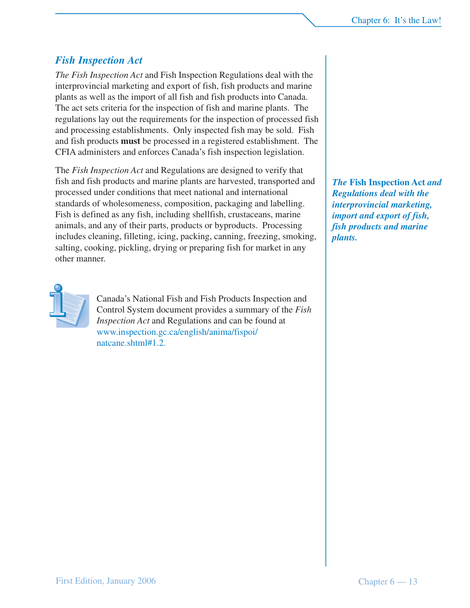#### *Fish Inspection Act*

*The Fish Inspection Act* and Fish Inspection Regulations deal with the interprovincial marketing and export of fish, fish products and marine plants as well as the import of all fish and fish products into Canada. The act sets criteria for the inspection of fish and marine plants. The regulations lay out the requirements for the inspection of processed fish and processing establishments. Only inspected fish may be sold. Fish and fish products **must** be processed in a registered establishment. The CFIA administers and enforces Canada's fish inspection legislation.

The *Fish Inspection Act* and Regulations are designed to verify that fish and fish products and marine plants are harvested, transported and processed under conditions that meet national and international standards of wholesomeness, composition, packaging and labelling. Fish is defined as any fish, including shellfish, crustaceans, marine animals, and any of their parts, products or byproducts. Processing includes cleaning, filleting, icing, packing, canning, freezing, smoking, salting, cooking, pickling, drying or preparing fish for market in any other manner.



Canada's National Fish and Fish Products Inspection and Control System document provides a summary of the *Fish Inspection Act* and Regulations and can be found at www.inspection.gc.ca/english/anima/fispoi/ natcane.shtml#1.2.

*The* **Fish Inspection Act** *and Regulations deal with the interprovincial marketing, import and export of fish, fish products and marine plants.*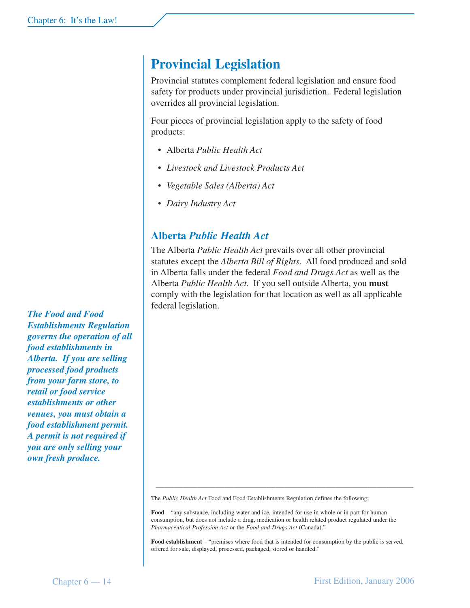## **Provincial Legislation**

Provincial statutes complement federal legislation and ensure food safety for products under provincial jurisdiction. Federal legislation overrides all provincial legislation.

Four pieces of provincial legislation apply to the safety of food products:

- *•* Alberta *Public Health Act*
- *Livestock and Livestock Products Act*
- *Vegetable Sales (Alberta) Act*
- *Dairy Industry Act*

### **Alberta** *Public Health Act*

The Alberta *Public Health Act* prevails over all other provincial statutes except the *Alberta Bill of Rights*. All food produced and sold in Alberta falls under the federal *Food and Drugs Act* as well as the Alberta *Public Health Act.* If you sell outside Alberta, you **must** comply with the legislation for that location as well as all applicable federal legislation.

*from your farm store, to retail or food service establishments or other venues, you must obtain a food establishment permit. A permit is not required if you are only selling your own fresh produce.*

*The Food and Food*

*food establishments in Alberta. If you are selling processed food products*

*Establishments Regulation governs the operation of all*

The *Public Health Act* Food and Food Establishments Regulation defines the following:

**Food** – "any substance, including water and ice, intended for use in whole or in part for human consumption, but does not include a drug, medication or health related product regulated under the *Pharmaceutical Profession Act* or the *Food and Drugs Act* (Canada)."

\_\_\_\_\_\_\_\_\_\_\_\_\_\_\_\_\_\_\_\_\_\_\_\_\_\_\_\_\_\_\_\_\_\_\_\_\_\_\_\_\_\_\_\_\_\_\_\_\_\_\_\_\_\_\_\_

**Food establishment** – "premises where food that is intended for consumption by the public is served, offered for sale, displayed, processed, packaged, stored or handled."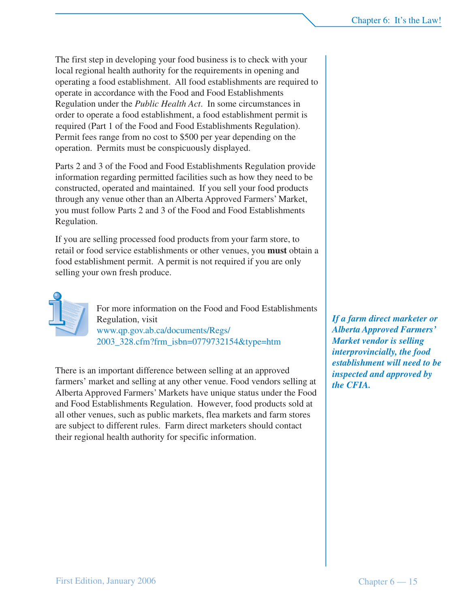The first step in developing your food business is to check with your local regional health authority for the requirements in opening and operating a food establishment. All food establishments are required to operate in accordance with the Food and Food Establishments Regulation under the *Public Health Act*. In some circumstances in order to operate a food establishment, a food establishment permit is required (Part 1 of the Food and Food Establishments Regulation). Permit fees range from no cost to \$500 per year depending on the operation. Permits must be conspicuously displayed.

Parts 2 and 3 of the Food and Food Establishments Regulation provide information regarding permitted facilities such as how they need to be constructed, operated and maintained.If you sell your food products through any venue other than an Alberta Approved Farmers' Market, you must follow Parts 2 and 3 of the Food and Food Establishments Regulation.

If you are selling processed food products from your farm store, to retail or food service establishments or other venues, you **must** obtain a food establishment permit. A permit is not required if you are only selling your own fresh produce.



For more information on the Food and Food Establishments Regulation, visit www.qp.gov.ab.ca/documents/Regs/ 2003\_328.cfm?frm\_isbn=0779732154&type=htm

There is an important difference between selling at an approved farmers' market and selling at any other venue. Food vendors selling at Alberta Approved Farmers' Markets have unique status under the Food and Food Establishments Regulation. However, food products sold at all other venues, such as public markets, flea markets and farm stores are subject to different rules. Farm direct marketers should contact their regional health authority for specific information.

*If a farm direct marketer or Alberta Approved Farmers' Market vendor is selling interprovincially, the food establishment will need to be inspected and approved by the CFIA.*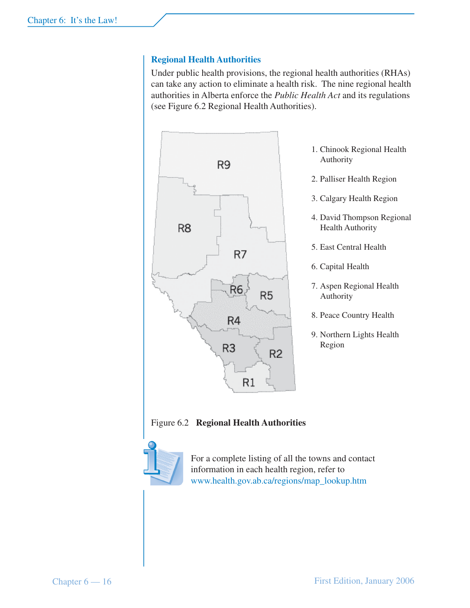#### **Regional Health Authorities**

Under public health provisions, the regional health authorities (RHAs) can take any action to eliminate a health risk. The nine regional health authorities in Alberta enforce the *Public Health Act* and its regulations (see Figure 6.2 Regional Health Authorities).



- 1. Chinook Regional Health Authority
- 2. Palliser Health Region
- 3. Calgary Health Region
- 4. David Thompson Regional Health Authority
- 5. East Central Health
- 6. Capital Health
- 7. Aspen Regional Health Authority
- 8. Peace Country Health
- 9. Northern Lights Health Region

Figure 6.2 **Regional Health Authorities**



For a complete listing of all the towns and contact information in each health region, refer to www.health.gov.ab.ca/regions/map\_lookup.htm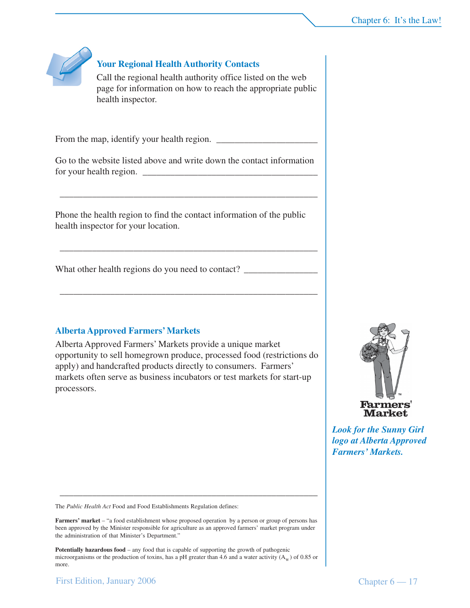

#### **Your Regional Health Authority Contacts**

Call the regional health authority office listed on the web page for information on how to reach the appropriate public health inspector.

From the map, identify your health region.

Go to the website listed above and write down the contact information for your health region.

\_\_\_\_\_\_\_\_\_\_\_\_\_\_\_\_\_\_\_\_\_\_\_\_\_\_\_\_\_\_\_\_\_\_\_\_\_\_\_\_\_\_\_\_\_\_\_\_\_\_\_\_\_\_\_\_

\_\_\_\_\_\_\_\_\_\_\_\_\_\_\_\_\_\_\_\_\_\_\_\_\_\_\_\_\_\_\_\_\_\_\_\_\_\_\_\_\_\_\_\_\_\_\_\_\_\_\_\_\_\_\_\_

\_\_\_\_\_\_\_\_\_\_\_\_\_\_\_\_\_\_\_\_\_\_\_\_\_\_\_\_\_\_\_\_\_\_\_\_\_\_\_\_\_\_\_\_\_\_\_\_\_\_\_\_\_\_\_\_

Phone the health region to find the contact information of the public health inspector for your location.

What other health regions do you need to contact?

#### **Alberta Approved Farmers' Markets**

Alberta Approved Farmers' Markets provide a unique market opportunity to sell homegrown produce, processed food (restrictions do apply) and handcrafted products directly to consumers. Farmers' markets often serve as business incubators or test markets for start-up processors.



*Look for the Sunny Girl logo at Alberta Approved Farmers' Markets.*

The *Public Health Act* Food and Food Establishments Regulation defines:

**Farmers' market** – "a food establishment whose proposed operation by a person or group of persons has been approved by the Minister responsible for agriculture as an approved farmers' market program under the administration of that Minister's Department."

\_\_\_\_\_\_\_\_\_\_\_\_\_\_\_\_\_\_\_\_\_\_\_\_\_\_\_\_\_\_\_\_\_\_\_\_\_\_\_\_\_\_\_\_\_\_\_\_\_\_\_\_\_\_\_\_

**Potentially hazardous food** – any food that is capable of supporting the growth of pathogenic microorganisms or the production of toxins, has a pH greater than 4.6 and a water activity  $(A_w)$  of 0.85 or more.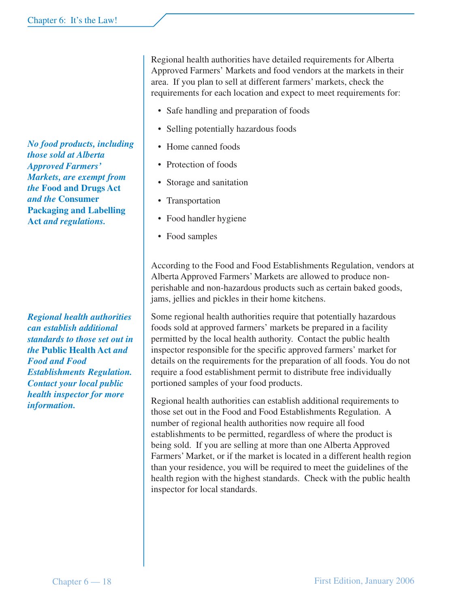*No food products, including those sold at Alberta Approved Farmers' Markets, are exempt from the* **Food and Drugs Act** *and the* **Consumer Packaging and Labelling Act** *and regulations.*

*Regional health authorities can establish additional standards to those set out in the* **Public Health Act** *and Food and Food Establishments Regulation. Contact your local public health inspector for more information.*

Regional health authorities have detailed requirements for Alberta Approved Farmers' Markets and food vendors at the markets in their area. If you plan to sell at different farmers' markets, check the requirements for each location and expect to meet requirements for:

- Safe handling and preparation of foods
- Selling potentially hazardous foods
- Home canned foods
- Protection of foods
- Storage and sanitation
- Transportation
- Food handler hygiene
- Food samples

According to the Food and Food Establishments Regulation, vendors at Alberta Approved Farmers' Markets are allowed to produce nonperishable and non-hazardous products such as certain baked goods, jams, jellies and pickles in their home kitchens.

Some regional health authorities require that potentially hazardous foods sold at approved farmers' markets be prepared in a facility permitted by the local health authority. Contact the public health inspector responsible for the specific approved farmers' market for details on the requirements for the preparation of all foods. You do not require a food establishment permit to distribute free individually portioned samples of your food products.

Regional health authorities can establish additional requirements to those set out in the Food and Food Establishments Regulation. A number of regional health authorities now require all food establishments to be permitted, regardless of where the product is being sold. If you are selling at more than one Alberta Approved Farmers' Market, or if the market is located in a different health region than your residence, you will be required to meet the guidelines of the health region with the highest standards. Check with the public health inspector for local standards.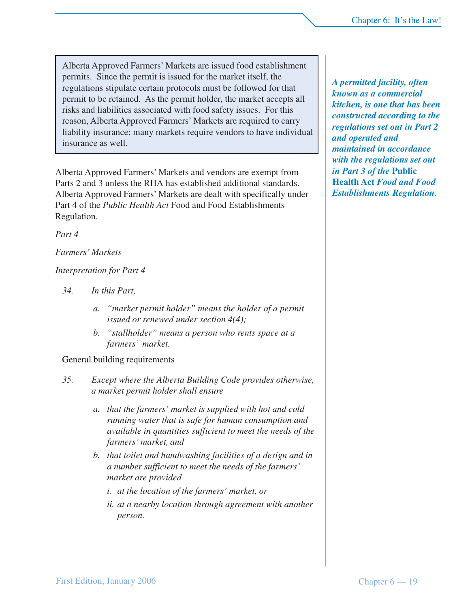Alberta Approved Farmers' Markets are issued food establishment permits. Since the permit is issued for the market itself, the regulations stipulate certain protocols must be followed for that permit to be retained. As the permit holder, the market accepts all risks and liabilities associated with food safety issues. For this reason, Alberta Approved Farmers' Markets are required to carry liability insurance; many markets require vendors to have individual insurance as well.

Alberta Approved Farmers' Markets and vendors are exempt from Parts 2 and 3 unless the RHA has established additional standards. Alberta Approved Farmers' Markets are dealt with specifically under Part 4 of the *Public Health Act* Food and Food Establishments Regulation.

*Part 4*

#### *Farmers' Markets*

#### *Interpretation for Part 4*

- *34. In this Part,*
	- *a. "market permit holder" means the holder of a permit issued or renewed under section 4(4);*
	- *b. "stallholder" means a person who rents space at a farmers' market.*

#### General building requirements

- *35. Except where the Alberta Building Code provides otherwise, a market permit holder shall ensure*
	- *a. that the farmers' market is supplied with hot and cold running water that is safe for human consumption and available in quantities sufficient to meet the needs of the farmers' market, and*
	- *b. that toilet and handwashing facilities of a design and in a number sufficient to meet the needs of the farmers' market are provided*
		- *i. at the location of the farmers' market, or*
		- *ii. at a nearby location through agreement with another person.*

*A permitted facility, often known as a commercial kitchen, is one that has been constructed according to the regulations set out in Part 2 and operated and maintained in accordance with the regulations set out in Part 3 of the* **Public Health Act** *Food and Food Establishments Regulation.*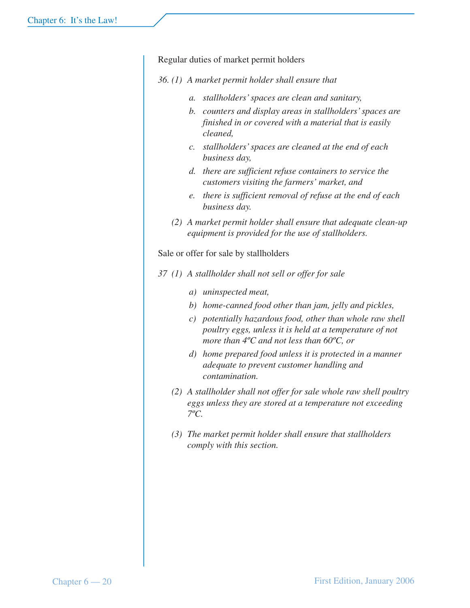Regular duties of market permit holders

- *36. (1) A market permit holder shall ensure that*
	- *a. stallholders' spaces are clean and sanitary,*
	- *b. counters and display areas in stallholders' spaces are finished in or covered with a material that is easily cleaned,*
	- *c. stallholders' spaces are cleaned at the end of each business day,*
	- *d. there are sufficient refuse containers to service the customers visiting the farmers' market, and*
	- *e. there is sufficient removal of refuse at the end of each business day.*
	- *(2) A market permit holder shall ensure that adequate clean-up equipment is provided for the use of stallholders.*

Sale or offer for sale by stallholders

- *37 (1) A stallholder shall not sell or offer for sale*
	- *a) uninspected meat,*
	- *b) home-canned food other than jam, jelly and pickles,*
	- *c) potentially hazardous food, other than whole raw shell poultry eggs, unless it is held at a temperature of not more than 4ºC and not less than 60ºC, or*
	- *d) home prepared food unless it is protected in a manner adequate to prevent customer handling and contamination.*
	- *(2) A stallholder shall not offer for sale whole raw shell poultry eggs unless they are stored at a temperature not exceeding 7ºC.*
	- *(3) The market permit holder shall ensure that stallholders comply with this section.*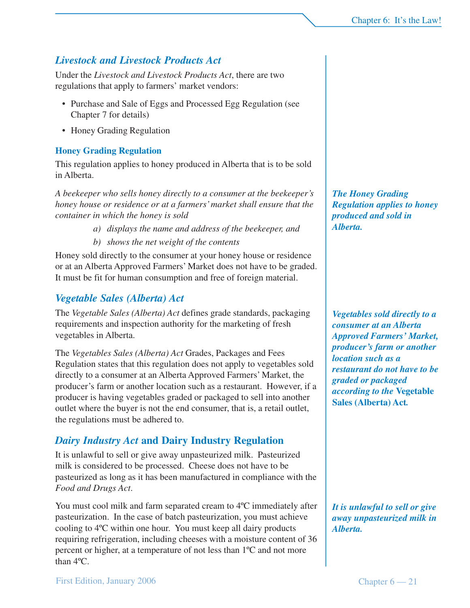*It is unlawful to sell or give away unpasteurized milk in*

*Alberta.*

### *Livestock and Livestock Products Act*

Under the *Livestock and Livestock Products Act*, there are two regulations that apply to farmers' market vendors:

- Purchase and Sale of Eggs and Processed Egg Regulation (see Chapter 7 for details)
- Honey Grading Regulation

### **Honey Grading Regulation**

This regulation applies to honey produced in Alberta that is to be sold in Alberta.

*A beekeeper who sells honey directly to a consumer at the beekeeper's honey house or residence or at a farmers' market shall ensure that the container in which the honey is sold*

- *a) displays the name and address of the beekeeper, and*
- *b) shows the net weight of the contents*

Honey sold directly to the consumer at your honey house or residence or at an Alberta Approved Farmers' Market does not have to be graded. It must be fit for human consumption and free of foreign material.

### *Vegetable Sales (Alberta) Act*

First Edition, January 2006

The *Vegetable Sales (Alberta) Act* defines grade standards, packaging requirements and inspection authority for the marketing of fresh vegetables in Alberta.

The *Vegetables Sales (Alberta) Act* Grades, Packages and Fees Regulation states that this regulation does not apply to vegetables sold directly to a consumer at an Alberta Approved Farmers' Market, the producer's farm or another location such as a restaurant. However, if a producer is having vegetables graded or packaged to sell into another outlet where the buyer is not the end consumer, that is, a retail outlet, the regulations must be adhered to.

### *Dairy Industry Act* **and Dairy Industry Regulation**

It is unlawful to sell or give away unpasteurized milk. Pasteurized milk is considered to be processed. Cheese does not have to be pasteurized as long as it has been manufactured in compliance with the *Food and Drugs Act*.

You must cool milk and farm separated cream to 4ºC immediately after pasteurization. In the case of batch pasteurization, you must achieve cooling to 4ºC within one hour. You must keep all dairy products requiring refrigeration, including cheeses with a moisture content of 36 percent or higher, at a temperature of not less than 1ºC and not more than 4ºC.

*The Honey Grading Regulation applies to honey produced and sold in Alberta.*

*Vegetables sold directly to a consumer at an Alberta Approved Farmers' Market, producer's farm or another location such as a restaurant do not have to be graded or packaged according to the* **Vegetable Sales (Alberta) Act***.*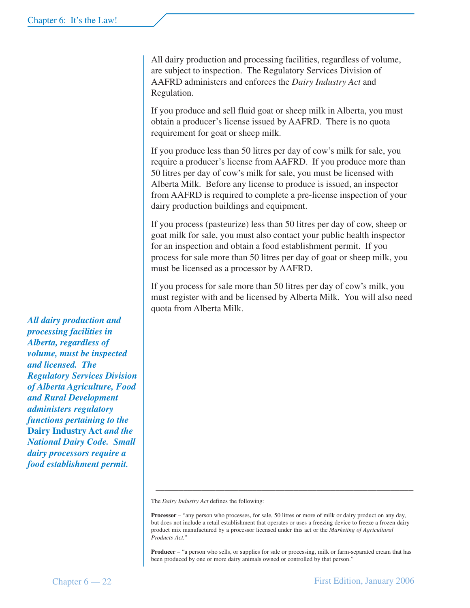All dairy production and processing facilities, regardless of volume, are subject to inspection. The Regulatory Services Division of AAFRD administers and enforces the *Dairy Industry Act* and Regulation.

If you produce and sell fluid goat or sheep milk in Alberta, you must obtain a producer's license issued by AAFRD. There is no quota requirement for goat or sheep milk.

If you produce less than 50 litres per day of cow's milk for sale, you require a producer's license from AAFRD. If you produce more than 50 litres per day of cow's milk for sale, you must be licensed with Alberta Milk. Before any license to produce is issued, an inspector from AAFRD is required to complete a pre-license inspection of your dairy production buildings and equipment.

If you process (pasteurize) less than 50 litres per day of cow, sheep or goat milk for sale, you must also contact your public health inspector for an inspection and obtain a food establishment permit. If you process for sale more than 50 litres per day of goat or sheep milk, you must be licensed as a processor by AAFRD.

If you process for sale more than 50 litres per day of cow's milk, you must register with and be licensed by Alberta Milk. You will also need quota from Alberta Milk.

The *Dairy Industry Act* defines the following:

\_\_\_\_\_\_\_\_\_\_\_\_\_\_\_\_\_\_\_\_\_\_\_\_\_\_\_\_\_\_\_\_\_\_\_\_\_\_\_\_\_\_\_\_\_\_\_\_\_\_\_\_\_\_\_\_

**Producer** – "a person who sells, or supplies for sale or processing, milk or farm-separated cream that has been produced by one or more dairy animals owned or controlled by that person."

*All dairy production and processing facilities in Alberta, regardless of volume, must be inspected and licensed. The Regulatory Services Division of Alberta Agriculture, Food and Rural Development administers regulatory functions pertaining to the* **Dairy Industry Act** *and the National Dairy Code. Small dairy processors require a food establishment permit.*

**Processor** – "any person who processes, for sale, 50 litres or more of milk or dairy product on any day, but does not include a retail establishment that operates or uses a freezing device to freeze a frozen dairy product mix manufactured by a processor licensed under this act or the *Marketing of Agricultural Products Act.*"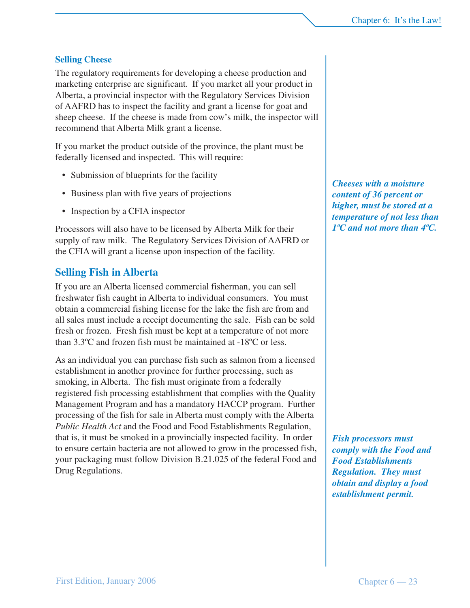#### **Selling Cheese**

The regulatory requirements for developing a cheese production and marketing enterprise are significant. If you market all your product in Alberta, a provincial inspector with the Regulatory Services Division of AAFRD has to inspect the facility and grant a license for goat and sheep cheese. If the cheese is made from cow's milk, the inspector will recommend that Alberta Milk grant a license.

If you market the product outside of the province, the plant must be federally licensed and inspected. This will require:

- Submission of blueprints for the facility
- Business plan with five years of projections
- Inspection by a CFIA inspector

Processors will also have to be licensed by Alberta Milk for their supply of raw milk. The Regulatory Services Division of AAFRD or the CFIA will grant a license upon inspection of the facility.

#### **Selling Fish in Alberta**

If you are an Alberta licensed commercial fisherman, you can sell freshwater fish caught in Alberta to individual consumers. You must obtain a commercial fishing license for the lake the fish are from and all sales must include a receipt documenting the sale. Fish can be sold fresh or frozen. Fresh fish must be kept at a temperature of not more than 3.3ºC and frozen fish must be maintained at -18ºC or less.

As an individual you can purchase fish such as salmon from a licensed establishment in another province for further processing, such as smoking, in Alberta. The fish must originate from a federally registered fish processing establishment that complies with the Quality Management Program and has a mandatory HACCP program. Further processing of the fish for sale in Alberta must comply with the Alberta *Public Health Act* and the Food and Food Establishments Regulation, that is, it must be smoked in a provincially inspected facility. In order to ensure certain bacteria are not allowed to grow in the processed fish, your packaging must follow Division B.21.025 of the federal Food and Drug Regulations.

*Cheeses with a moisture content of 36 percent or higher, must be stored at a temperature of not less than 1ºC and not more than 4ºC.*

*Fish processors must comply with the Food and Food Establishments Regulation. They must obtain and display a food establishment permit.*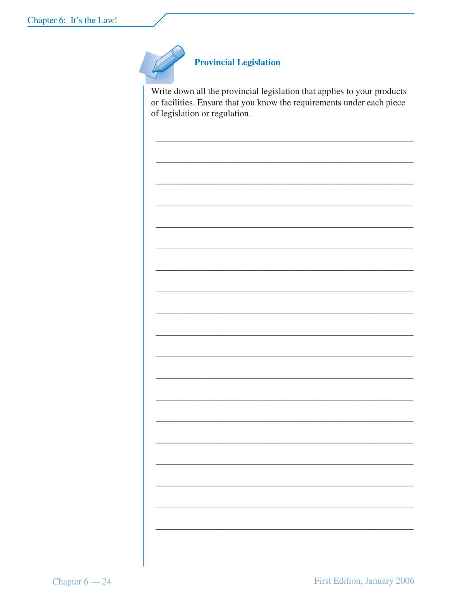

#### **Provincial Legislation**

Write down all the provincial legislation that applies to your products or facilities. Ensure that you know the requirements under each piece of legislation or regulation.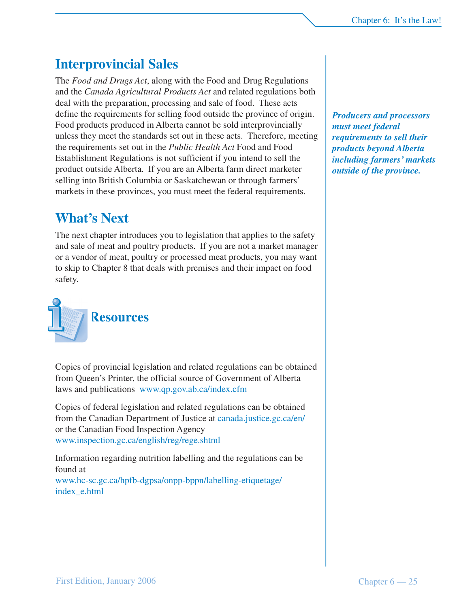## **Interprovincial Sales**

The *Food and Drugs Act*, along with the Food and Drug Regulations and the *Canada Agricultural Products Act* and related regulations both deal with the preparation, processing and sale of food. These acts define the requirements for selling food outside the province of origin. Food products produced in Alberta cannot be sold interprovincially unless they meet the standards set out in these acts. Therefore, meeting the requirements set out in the *Public Health Act* Food and Food Establishment Regulations is not sufficient if you intend to sell the product outside Alberta. If you are an Alberta farm direct marketer selling into British Columbia or Saskatchewan or through farmers' markets in these provinces, you must meet the federal requirements.

### **What's Next**

The next chapter introduces you to legislation that applies to the safety and sale of meat and poultry products. If you are not a market manager or a vendor of meat, poultry or processed meat products, you may want to skip to Chapter 8 that deals with premises and their impact on food safety.



Copies of provincial legislation and related regulations can be obtained from Queen's Printer, the official source of Government of Alberta laws and publications www.qp.gov.ab.ca/index.cfm

Copies of federal legislation and related regulations can be obtained from the Canadian Department of Justice at canada.justice.gc.ca/en/ or the Canadian Food Inspection Agency www.inspection.gc.ca/english/reg/rege.shtml

Information regarding nutrition labelling and the regulations can be found at

www.hc-sc.gc.ca/hpfb-dgpsa/onpp-bppn/labelling-etiquetage/ index\_e.html

*Producers and processors must meet federal requirements to sell their products beyond Alberta including farmers' markets outside of the province.*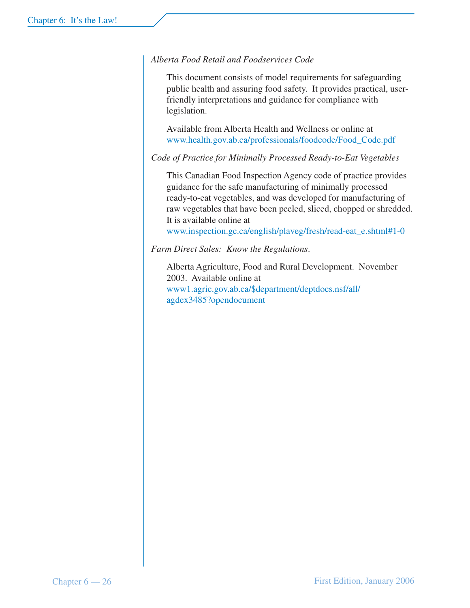#### *Alberta Food Retail and Foodservices Code*

This document consists of model requirements for safeguarding public health and assuring food safety. It provides practical, userfriendly interpretations and guidance for compliance with legislation.

Available from Alberta Health and Wellness or online at www.health.gov.ab.ca/professionals/foodcode/Food\_Code.pdf

*Code of Practice for Minimally Processed Ready-to-Eat Vegetables*

This Canadian Food Inspection Agency code of practice provides guidance for the safe manufacturing of minimally processed ready-to-eat vegetables, and was developed for manufacturing of raw vegetables that have been peeled, sliced, chopped or shredded. It is available online at

www.inspection.gc.ca/english/plaveg/fresh/read-eat\_e.shtml#1-0

*Farm Direct Sales: Know the Regulations*.

Alberta Agriculture, Food and Rural Development. November 2003. Available online at www1.agric.gov.ab.ca/\$department/deptdocs.nsf/all/ agdex3485?opendocument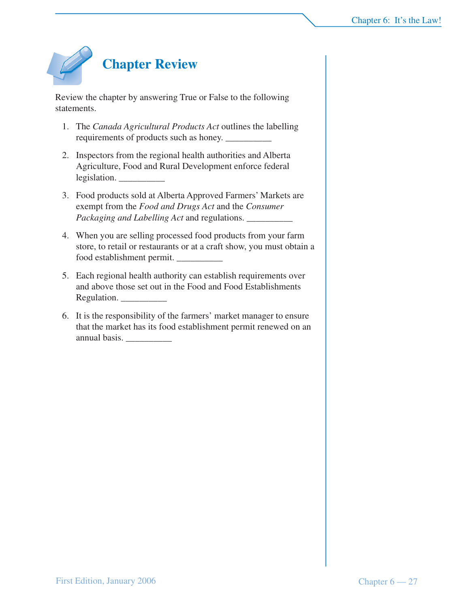

Review the chapter by answering True or False to the following statements.

- 1. The *Canada Agricultural Products Act* outlines the labelling requirements of products such as honey.  $\frac{ }{ }$
- 2. Inspectors from the regional health authorities and Alberta Agriculture, Food and Rural Development enforce federal legislation.
- 3. Food products sold at Alberta Approved Farmers' Markets are exempt from the *Food and Drugs Act* and the *Consumer Packaging and Labelling Act* and regulations. \_\_\_\_\_\_\_\_\_\_
- 4. When you are selling processed food products from your farm store, to retail or restaurants or at a craft show, you must obtain a food establishment permit. \_\_\_\_\_\_\_\_\_\_
- 5. Each regional health authority can establish requirements over and above those set out in the Food and Food Establishments Regulation.
- 6. It is the responsibility of the farmers' market manager to ensure that the market has its food establishment permit renewed on an annual basis.